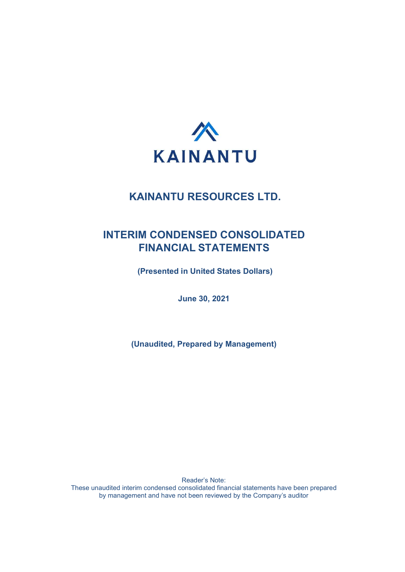

# INTERIM CONDENSED CONSOLIDATED FINANCIAL STATEMENTS

(Presented in United States Dollars)

June 30, 2021

(Unaudited, Prepared by Management)

Reader's Note: These unaudited interim condensed consolidated financial statements have been prepared by management and have not been reviewed by the Company's auditor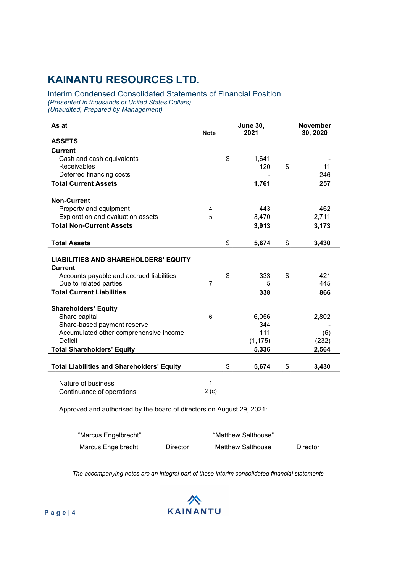### Interim Condensed Consolidated Statements of Financial Position (Presented in thousands of United States Dollars) (Unaudited, Prepared by Management)

| As at                                                         | <b>Note</b>    | <b>June 30,</b> |          | <b>November</b><br>2021<br>30, 2020 |       |
|---------------------------------------------------------------|----------------|-----------------|----------|-------------------------------------|-------|
| <b>ASSETS</b>                                                 |                |                 |          |                                     |       |
| <b>Current</b>                                                |                |                 |          |                                     |       |
| Cash and cash equivalents                                     |                | \$              | 1,641    |                                     |       |
| <b>Receivables</b>                                            |                |                 | 120      | \$                                  | 11    |
| Deferred financing costs                                      |                |                 |          |                                     | 246   |
| <b>Total Current Assets</b>                                   |                |                 | 1,761    |                                     | 257   |
|                                                               |                |                 |          |                                     |       |
| <b>Non-Current</b>                                            |                |                 |          |                                     |       |
| Property and equipment                                        | 4              |                 | 443      |                                     | 462   |
| Exploration and evaluation assets                             | 5              |                 | 3,470    |                                     | 2,711 |
| <b>Total Non-Current Assets</b>                               |                |                 | 3,913    |                                     | 3,173 |
|                                                               |                |                 |          |                                     |       |
| <b>Total Assets</b>                                           |                | \$              | 5,674    | \$                                  | 3,430 |
| <b>LIABILITIES AND SHAREHOLDERS' EQUITY</b><br><b>Current</b> |                |                 |          |                                     |       |
| Accounts payable and accrued liabilities                      |                | \$              | 333      | \$                                  | 421   |
| Due to related parties                                        | $\overline{7}$ |                 | 5        |                                     | 445   |
| <b>Total Current Liabilities</b>                              |                |                 | 338      |                                     | 866   |
| <b>Shareholders' Equity</b>                                   |                |                 |          |                                     |       |
| Share capital                                                 | 6              |                 | 6,056    |                                     | 2,802 |
| Share-based payment reserve                                   |                |                 | 344      |                                     |       |
| Accumulated other comprehensive income                        |                |                 | 111      |                                     | (6)   |
| Deficit                                                       |                |                 | (1, 175) |                                     | (232) |
| <b>Total Shareholders' Equity</b>                             |                |                 | 5,336    |                                     | 2,564 |
| <b>Total Liabilities and Shareholders' Equity</b>             |                | \$              | 5,674    | \$                                  | 3,430 |
| Nature of business<br>Continuance of operations               | 1<br>2(c)      |                 |          |                                     |       |

Approved and authorised by the board of directors on August 29, 2021:

| "Marcus Engelbrecht" |          | "Matthew Salthouse" |          |
|----------------------|----------|---------------------|----------|
| Marcus Engelbrecht   | Director | Matthew Salthouse   | Director |

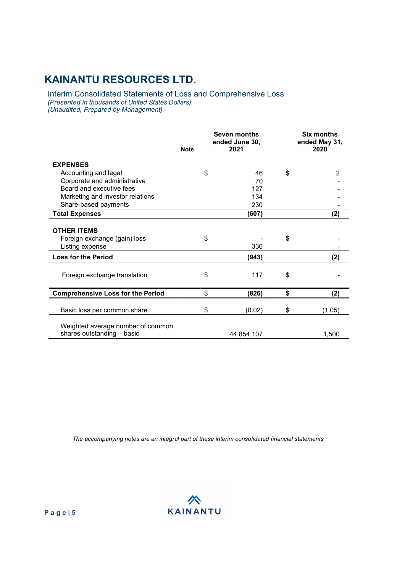Interim Consolidated Statements of Loss and Comprehensive Loss (Presented in thousands of United States Dollars) (Unaudited, Prepared by Management)

|                                                                       | <b>Note</b> | Seven months<br>ended June 30,<br>2021 | Six months<br>ended May 31,<br>2020 |
|-----------------------------------------------------------------------|-------------|----------------------------------------|-------------------------------------|
| <b>EXPENSES</b>                                                       |             |                                        |                                     |
| Accounting and legal                                                  | \$          | 46                                     | \$<br>$\overline{2}$                |
| Corporate and administrative                                          |             | 70                                     |                                     |
| Board and executive fees                                              |             | 127                                    |                                     |
| Marketing and investor relations                                      |             | 134                                    |                                     |
| Share-based payments                                                  |             | 230                                    |                                     |
| <b>Total Expenses</b>                                                 |             | (607)                                  | (2)                                 |
| <b>OTHER ITEMS</b><br>Foreign exchange (gain) loss<br>Listing expense | \$          | 336                                    | \$                                  |
| <b>Loss for the Period</b>                                            |             | (943)                                  | (2)                                 |
| Foreign exchange translation                                          | \$          | 117                                    | \$                                  |
| <b>Comprehensive Loss for the Period</b>                              | \$          | (826)                                  | \$<br>(2)                           |
| Basic loss per common share                                           | \$          | (0.02)                                 | \$<br>(1.05)                        |
| Weighted average number of common<br>shares outstanding - basic       |             | 44,854,107                             | 1,500                               |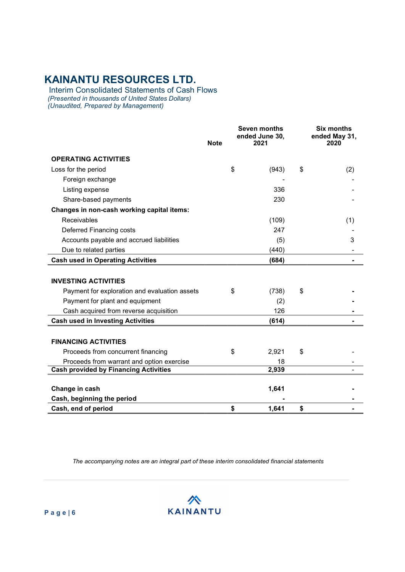Interim Consolidated Statements of Cash Flows (Presented in thousands of United States Dollars) (Unaudited, Prepared by Management)

|                                               | <b>Note</b> | <b>Seven months</b><br>ended June 30,<br>2021 |       | Six months<br>ended May 31,<br>2020 |
|-----------------------------------------------|-------------|-----------------------------------------------|-------|-------------------------------------|
|                                               |             |                                               |       |                                     |
| <b>OPERATING ACTIVITIES</b>                   |             |                                               |       |                                     |
| Loss for the period                           |             | \$                                            | (943) | \$<br>(2)                           |
| Foreign exchange                              |             |                                               |       |                                     |
| Listing expense                               |             |                                               | 336   |                                     |
| Share-based payments                          |             |                                               | 230   |                                     |
| Changes in non-cash working capital items:    |             |                                               |       |                                     |
| Receivables                                   |             |                                               | (109) | (1)                                 |
| Deferred Financing costs                      |             |                                               | 247   |                                     |
| Accounts payable and accrued liabilities      |             |                                               | (5)   | 3                                   |
| Due to related parties                        |             |                                               | (440) |                                     |
| <b>Cash used in Operating Activities</b>      |             |                                               | (684) |                                     |
|                                               |             |                                               |       |                                     |
| <b>INVESTING ACTIVITIES</b>                   |             |                                               |       |                                     |
| Payment for exploration and evaluation assets |             | \$                                            | (738) | \$                                  |
| Payment for plant and equipment               |             |                                               | (2)   |                                     |
| Cash acquired from reverse acquisition        |             |                                               | 126   |                                     |
| <b>Cash used in Investing Activities</b>      |             |                                               | (614) |                                     |
|                                               |             |                                               |       |                                     |
| <b>FINANCING ACTIVITIES</b>                   |             |                                               |       |                                     |
| Proceeds from concurrent financing            |             | \$                                            | 2,921 | \$                                  |
| Proceeds from warrant and option exercise     |             |                                               | 18    |                                     |
| <b>Cash provided by Financing Activities</b>  |             |                                               | 2,939 |                                     |
|                                               |             |                                               |       |                                     |
| Change in cash                                |             |                                               | 1,641 |                                     |
| Cash, beginning the period                    |             |                                               |       |                                     |
| Cash, end of period                           |             | \$                                            | 1,641 | \$                                  |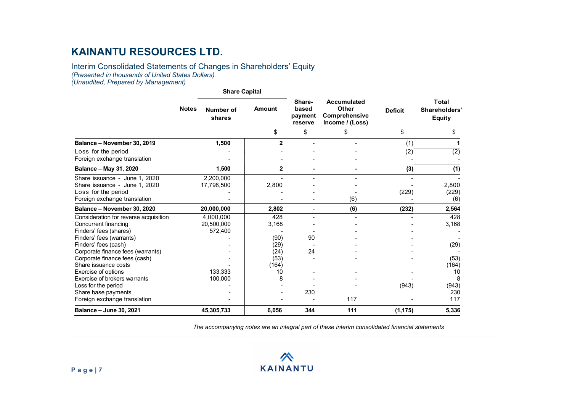#### Interim Consolidated Statements of Changes in Shareholders' Equity (Presented in thousands of United States Dollars) (Unaudited, Prepared by Management)

#### Share Capital Notes Number of shares Amount based Other Sharebased payment reserve Accumulated Deficit Comprehensive Income / (Loss) Deficit Shareholders' Total Equity  $\texttt{\$} \texttt{\$} \texttt{\$} \texttt{\$} \texttt{\$} \texttt{\$} \texttt{\$} \texttt{\$} \texttt{\$} \texttt{\$} \texttt{\$} \texttt{\$} \texttt{\$} \texttt{\$} \texttt{\$} \texttt{\$} \texttt{\$} \texttt{\$} \texttt{\$} \texttt{\$} \texttt{\$} \texttt{\$} \texttt{\$} \texttt{\$} \texttt{\$} \texttt{\$} \texttt{\$} \texttt{\$} \texttt{\$} \texttt{\$} \texttt{\$} \texttt{\$} \texttt{\$} \texttt{\$} \texttt{\$} \texttt{\$} \texttt{\$ Balance – November 30, 2019 1,500 2 - - (1) 1  $\csc$   $\csc$   $\csc$   $\csc$   $\csc$   $\csc$   $\csc$   $\csc$   $\csc$   $\csc$   $\csc$   $\csc$   $\csc$   $\csc$   $\csc$   $\csc$   $\csc$   $\csc$   $\csc$   $\csc$   $\csc$   $\csc$   $\csc$   $\csc$   $\csc$   $\csc$   $\csc$   $\csc$   $\csc$   $\csc$   $\csc$   $\csc$   $\csc$   $\csc$   $\csc$   $\csc$   $\csc$ Foreign exchange translation and the state of the state of the state of the state of the state of the state of the state of the state of the state of the state of the state of the state of the state of the state of the sta Balance – May 31, 2020 1,500 1,500 2 - 1,500 (1) Share issuance - June 1, 2020 2,200,000 - - - - - Share issuance - June 1, 2020 17,798,500 <br>
Loss for the period (229) (229) (229) Loss for the period - - - - (229) (229) Foreign exchange translation  $\overline{a}$  -  $\overline{a}$  -  $\overline{a}$  -  $\overline{a}$  (6) Balance – November 30, 2020 20,000,000 2,802 - (6) (232) 2,564 Consideration for reverse acquisition  $\begin{array}{ccc} 4,000,000 & 428 & - & - & - & - & 428 \\ 20.500,000 & 3.168 & - & - & - & - & 3.168 \end{array}$ Concurrent financing 20,500,000 3,168 - - - 3,168 Finders' fees (shares) 572,400 - - - - - Finders' fees (warrants) and the state of the state of the state of the state of the state of the state of the state of the state of the state of the state of the state of the state of the state of the state of the state o Finders' fees (cash) - (29) - - - (29) Corporate finance fees (warrants)  $(24)$ Corporate finance fees (cash)  $\begin{array}{cccc} - & \phantom{+} & \phantom{+} & \phantom{+} & \phantom{+} & \phantom{+} & \phantom{+} & \phantom{+} & \phantom{+} & \phantom{+} & \phantom{+} & \phantom{+} & \phantom{+} & \phantom{+} & \phantom{+} & \phantom{+} & \phantom{+} & \phantom{+} & \phantom{+} & \phantom{+} & \phantom{+} & \phantom{+} & \phantom{+} & \phantom{+} & \phantom{+} & \phantom{+} & \phantom{+} &$ Share issuance costs (164) Exercise of options 133,333 | 10 - 10 Exercise of brokers warrants 100,000 8 - - - 8 Loss for the period (943) (943) (943) Share base payments **230** 230 **230** Foreign exchange translation and the state of the state of the state of the state of the state of the state of the state of the state of the state of the state of the state of the state of the state of the state of the sta Balance – June 30, 2021 45,305,733 6,056 344 111 (1,175) 5,336

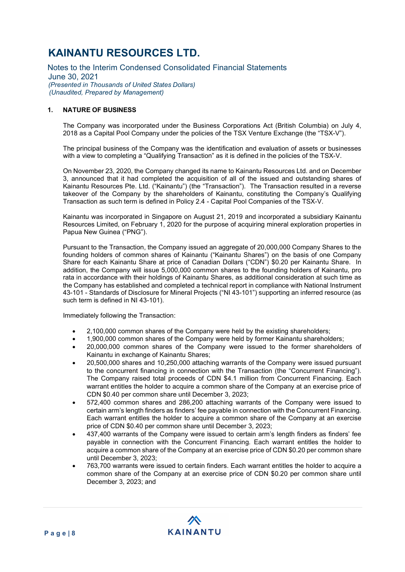Notes to the Interim Condensed Consolidated Financial Statements June 30, 2021 (Presented in Thousands of United States Dollars) (Unaudited, Prepared by Management)

### 1. NATURE OF BUSINESS

The Company was incorporated under the Business Corporations Act (British Columbia) on July 4, 2018 as a Capital Pool Company under the policies of the TSX Venture Exchange (the "TSX-V").

The principal business of the Company was the identification and evaluation of assets or businesses with a view to completing a "Qualifying Transaction" as it is defined in the policies of the TSX-V.

On November 23, 2020, the Company changed its name to Kainantu Resources Ltd. and on December 3, announced that it had completed the acquisition of all of the issued and outstanding shares of Kainantu Resources Pte. Ltd. ("Kainantu") (the "Transaction"). The Transaction resulted in a reverse takeover of the Company by the shareholders of Kainantu, constituting the Company's Qualifying Transaction as such term is defined in Policy 2.4 - Capital Pool Companies of the TSX-V.

Kainantu was incorporated in Singapore on August 21, 2019 and incorporated a subsidiary Kainantu Resources Limited, on February 1, 2020 for the purpose of acquiring mineral exploration properties in Papua New Guinea ("PNG").

Pursuant to the Transaction, the Company issued an aggregate of 20,000,000 Company Shares to the founding holders of common shares of Kainantu ("Kainantu Shares") on the basis of one Company Share for each Kainantu Share at price of Canadian Dollars ("CDN") \$0.20 per Kainantu Share. In addition, the Company will issue 5,000,000 common shares to the founding holders of Kainantu, pro rata in accordance with their holdings of Kainantu Shares, as additional consideration at such time as the Company has established and completed a technical report in compliance with National Instrument 43-101 - Standards of Disclosure for Mineral Projects ("NI 43-101") supporting an inferred resource (as such term is defined in NI 43-101).

Immediately following the Transaction:

- 2,100,000 common shares of the Company were held by the existing shareholders;
- 1,900,000 common shares of the Company were held by former Kainantu shareholders;
- 20,000,000 common shares of the Company were issued to the former shareholders of Kainantu in exchange of Kainantu Shares;
- 20,500,000 shares and 10,250,000 attaching warrants of the Company were issued pursuant to the concurrent financing in connection with the Transaction (the "Concurrent Financing"). The Company raised total proceeds of CDN \$4.1 million from Concurrent Financing. Each warrant entitles the holder to acquire a common share of the Company at an exercise price of CDN \$0.40 per common share until December 3, 2023;
- 572,400 common shares and 286,200 attaching warrants of the Company were issued to certain arm's length finders as finders' fee payable in connection with the Concurrent Financing. Each warrant entitles the holder to acquire a common share of the Company at an exercise price of CDN \$0.40 per common share until December 3, 2023;
- 437,400 warrants of the Company were issued to certain arm's length finders as finders' fee payable in connection with the Concurrent Financing. Each warrant entitles the holder to acquire a common share of the Company at an exercise price of CDN \$0.20 per common share until December 3, 2023;
- 763,700 warrants were issued to certain finders. Each warrant entitles the holder to acquire a common share of the Company at an exercise price of CDN \$0.20 per common share until December 3, 2023; and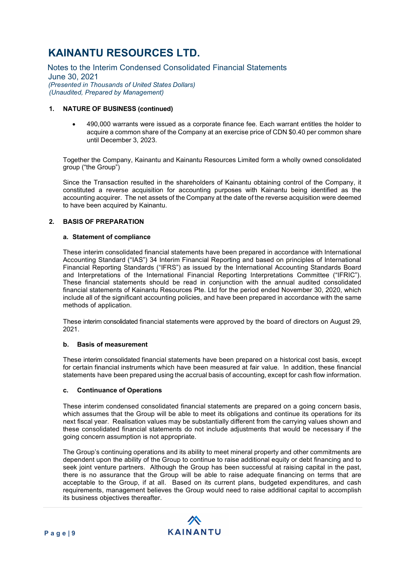Notes to the Interim Condensed Consolidated Financial Statements June 30, 2021 (Presented in Thousands of United States Dollars) (Unaudited, Prepared by Management)

### 1. NATURE OF BUSINESS (continued)

 490,000 warrants were issued as a corporate finance fee. Each warrant entitles the holder to acquire a common share of the Company at an exercise price of CDN \$0.40 per common share until December 3, 2023.

Together the Company, Kainantu and Kainantu Resources Limited form a wholly owned consolidated group ("the Group")

Since the Transaction resulted in the shareholders of Kainantu obtaining control of the Company, it constituted a reverse acquisition for accounting purposes with Kainantu being identified as the accounting acquirer. The net assets of the Company at the date of the reverse acquisition were deemed to have been acquired by Kainantu.

### 2. BASIS OF PREPARATION

#### a. Statement of compliance

These interim consolidated financial statements have been prepared in accordance with International Accounting Standard ("IAS") 34 Interim Financial Reporting and based on principles of International Financial Reporting Standards ("IFRS") as issued by the International Accounting Standards Board and Interpretations of the International Financial Reporting Interpretations Committee ("IFRIC"). These financial statements should be read in conjunction with the annual audited consolidated financial statements of Kainantu Resources Pte. Ltd for the period ended November 30, 2020, which include all of the significant accounting policies, and have been prepared in accordance with the same methods of application.

These interim consolidated financial statements were approved by the board of directors on August 29, 2021.

#### b. Basis of measurement

These interim consolidated financial statements have been prepared on a historical cost basis, except for certain financial instruments which have been measured at fair value. In addition, these financial statements have been prepared using the accrual basis of accounting, except for cash flow information.

#### c. Continuance of Operations

These interim condensed consolidated financial statements are prepared on a going concern basis, which assumes that the Group will be able to meet its obligations and continue its operations for its next fiscal year. Realisation values may be substantially different from the carrying values shown and these consolidated financial statements do not include adjustments that would be necessary if the going concern assumption is not appropriate.

The Group's continuing operations and its ability to meet mineral property and other commitments are dependent upon the ability of the Group to continue to raise additional equity or debt financing and to seek joint venture partners. Although the Group has been successful at raising capital in the past, there is no assurance that the Group will be able to raise adequate financing on terms that are acceptable to the Group, if at all. Based on its current plans, budgeted expenditures, and cash requirements, management believes the Group would need to raise additional capital to accomplish its business objectives thereafter.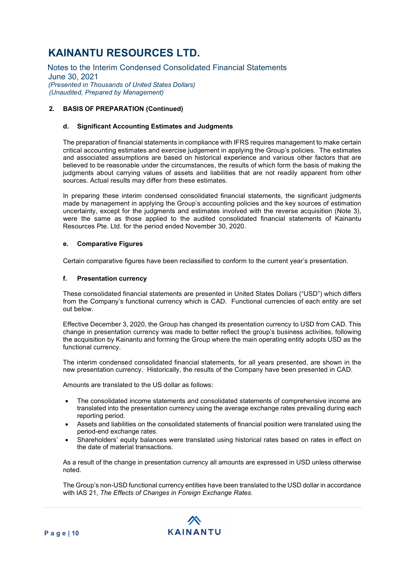Notes to the Interim Condensed Consolidated Financial Statements June 30, 2021 (Presented in Thousands of United States Dollars) (Unaudited, Prepared by Management)

### 2. BASIS OF PREPARATION (Continued)

#### d. Significant Accounting Estimates and Judgments

The preparation of financial statements in compliance with IFRS requires management to make certain critical accounting estimates and exercise judgement in applying the Group's policies. The estimates and associated assumptions are based on historical experience and various other factors that are believed to be reasonable under the circumstances, the results of which form the basis of making the judgments about carrying values of assets and liabilities that are not readily apparent from other sources. Actual results may differ from these estimates.

In preparing these interim condensed consolidated financial statements, the significant judgments made by management in applying the Group's accounting policies and the key sources of estimation uncertainty, except for the judgments and estimates involved with the reverse acquisition (Note 3), were the same as those applied to the audited consolidated financial statements of Kainantu Resources Pte. Ltd. for the period ended November 30, 2020.

#### e. Comparative Figures

Certain comparative figures have been reclassified to conform to the current year's presentation.

#### f. Presentation currency

These consolidated financial statements are presented in United States Dollars ("USD") which differs from the Company's functional currency which is CAD. Functional currencies of each entity are set out below.

Effective December 3, 2020, the Group has changed its presentation currency to USD from CAD. This change in presentation currency was made to better reflect the group's business activities, following the acquisition by Kainantu and forming the Group where the main operating entity adopts USD as the functional currency.

The interim condensed consolidated financial statements, for all years presented, are shown in the new presentation currency. Historically, the results of the Company have been presented in CAD.

Amounts are translated to the US dollar as follows:

- The consolidated income statements and consolidated statements of comprehensive income are translated into the presentation currency using the average exchange rates prevailing during each reporting period.
- Assets and liabilities on the consolidated statements of financial position were translated using the period-end exchange rates.
- Shareholders' equity balances were translated using historical rates based on rates in effect on the date of material transactions.

As a result of the change in presentation currency all amounts are expressed in USD unless otherwise noted.

The Group's non-USD functional currency entities have been translated to the USD dollar in accordance with IAS 21, The Effects of Changes in Foreign Exchange Rates.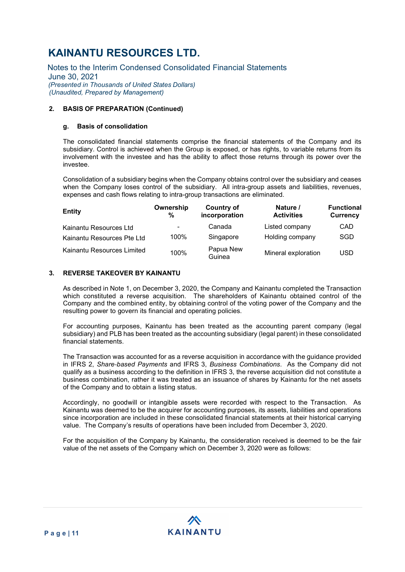Notes to the Interim Condensed Consolidated Financial Statements June 30, 2021 (Presented in Thousands of United States Dollars) (Unaudited, Prepared by Management)

### 2. BASIS OF PREPARATION (Continued)

### g. Basis of consolidation

The consolidated financial statements comprise the financial statements of the Company and its subsidiary. Control is achieved when the Group is exposed, or has rights, to variable returns from its involvement with the investee and has the ability to affect those returns through its power over the investee.

Consolidation of a subsidiary begins when the Company obtains control over the subsidiary and ceases when the Company loses control of the subsidiary. All intra-group assets and liabilities, revenues, expenses and cash flows relating to intra-group transactions are eliminated.

| <b>Entity</b>              | Ownership<br>% | Country of<br>incorporation | Nature /<br><b>Activities</b> | <b>Functional</b><br>Currency |
|----------------------------|----------------|-----------------------------|-------------------------------|-------------------------------|
| Kainantu Resources Ltd     | ۰              | Canada                      | Listed company                | CAD                           |
| Kainantu Resources Pte Ltd | 100%           | Singapore                   | Holding company               | SGD                           |
| Kainantu Resources Limited | 100%           | Papua New<br>Guinea         | Mineral exploration           | <b>USD</b>                    |

### 3. REVERSE TAKEOVER BY KAINANTU

As described in Note 1, on December 3, 2020, the Company and Kainantu completed the Transaction which constituted a reverse acquisition. The shareholders of Kainantu obtained control of the Company and the combined entity, by obtaining control of the voting power of the Company and the resulting power to govern its financial and operating policies.

For accounting purposes, Kainantu has been treated as the accounting parent company (legal subsidiary) and PLB has been treated as the accounting subsidiary (legal parent) in these consolidated financial statements.

The Transaction was accounted for as a reverse acquisition in accordance with the guidance provided in IFRS 2, Share-based Payments and IFRS 3, Business Combinations. As the Company did not qualify as a business according to the definition in IFRS 3, the reverse acquisition did not constitute a business combination, rather it was treated as an issuance of shares by Kainantu for the net assets of the Company and to obtain a listing status.

Accordingly, no goodwill or intangible assets were recorded with respect to the Transaction. As Kainantu was deemed to be the acquirer for accounting purposes, its assets, liabilities and operations since incorporation are included in these consolidated financial statements at their historical carrying value. The Company's results of operations have been included from December 3, 2020.

For the acquisition of the Company by Kainantu, the consideration received is deemed to be the fair value of the net assets of the Company which on December 3, 2020 were as follows: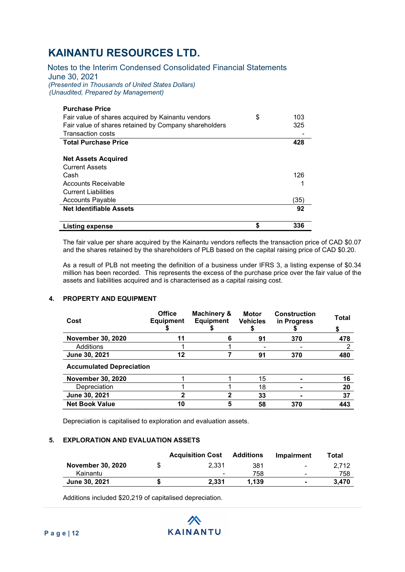Notes to the Interim Condensed Consolidated Financial Statements June 30, 2021 (Presented in Thousands of United States Dollars) (Unaudited, Prepared by Management)

| <b>Purchase Price</b>                                 |           |
|-------------------------------------------------------|-----------|
| Fair value of shares acquired by Kainantu vendors     | \$<br>103 |
| Fair value of shares retained by Company shareholders | 325       |
| <b>Transaction costs</b>                              |           |
| <b>Total Purchase Price</b>                           | 428       |
|                                                       |           |
| <b>Net Assets Acquired</b>                            |           |
| <b>Current Assets</b>                                 |           |
| Cash                                                  | 126       |
| Accounts Receivable                                   |           |
| <b>Current Liabilities</b>                            |           |
| <b>Accounts Payable</b>                               | (35)      |
| <b>Net Identifiable Assets</b>                        | 92        |
|                                                       |           |
| <b>Listing expense</b>                                | \$<br>336 |

The fair value per share acquired by the Kainantu vendors reflects the transaction price of CAD \$0.07 and the shares retained by the shareholders of PLB based on the capital raising price of CAD \$0.20.

As a result of PLB not meeting the definition of a business under IFRS 3, a listing expense of \$0.34 million has been recorded. This represents the excess of the purchase price over the fair value of the assets and liabilities acquired and is characterised as a capital raising cost.

### 4. PROPERTY AND EQUIPMENT

| Cost                            | <b>Office</b><br><b>Equipment</b> | Machinery &<br><b>Equipment</b> | <b>Motor</b><br><b>Vehicles</b> | <b>Construction</b><br>in Progress | <b>Total</b><br>S |
|---------------------------------|-----------------------------------|---------------------------------|---------------------------------|------------------------------------|-------------------|
| <b>November 30, 2020</b>        | 11                                | 6                               | 91                              | 370                                | 478               |
| Additions                       |                                   |                                 |                                 |                                    | 2                 |
| June 30, 2021                   | 12                                |                                 | 91                              | 370                                | 480               |
| <b>Accumulated Depreciation</b> |                                   |                                 |                                 |                                    |                   |
| <b>November 30, 2020</b>        |                                   |                                 | 15                              |                                    | 16                |
| Depreciation                    |                                   |                                 | 18                              |                                    | 20                |
| June 30, 2021                   | 2                                 |                                 | 33                              |                                    | 37                |
| <b>Net Book Value</b>           | 10                                | 5                               | 58                              | 370                                | 443               |

Depreciation is capitalised to exploration and evaluation assets.

#### 5. EXPLORATION AND EVALUATION ASSETS

|                          | <b>Acquisition Cost</b>  | Additions | <b>Impairment</b>        | Total |
|--------------------------|--------------------------|-----------|--------------------------|-------|
| <b>November 30, 2020</b> | 2.331                    | 381       | $\overline{\phantom{a}}$ | 2.712 |
| Kainantu                 | $\overline{\phantom{a}}$ | 758       | $\overline{\phantom{a}}$ | 758   |
| June 30, 2021            | 2.331                    | 1.139     | $\blacksquare$           | 3.470 |

Additions included \$20,219 of capitalised depreciation.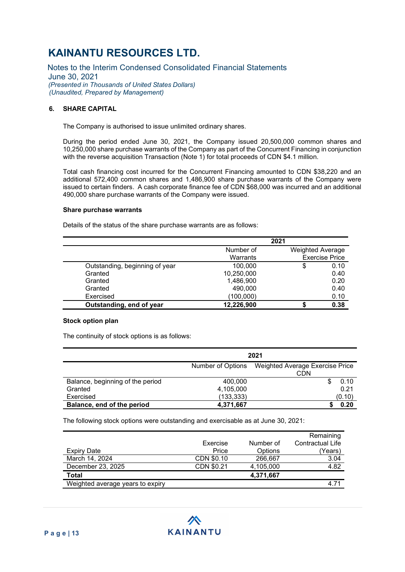Notes to the Interim Condensed Consolidated Financial Statements June 30, 2021 (Presented in Thousands of United States Dollars) (Unaudited, Prepared by Management)

### 6. SHARE CAPITAL

The Company is authorised to issue unlimited ordinary shares.

During the period ended June 30, 2021, the Company issued 20,500,000 common shares and 10,250,000 share purchase warrants of the Company as part of the Concurrent Financing in conjunction with the reverse acquisition Transaction (Note 1) for total proceeds of CDN \$4.1 million.

Total cash financing cost incurred for the Concurrent Financing amounted to CDN \$38,220 and an additional 572,400 common shares and 1,486,900 share purchase warrants of the Company were issued to certain finders. A cash corporate finance fee of CDN \$68,000 was incurred and an additional 490,000 share purchase warrants of the Company were issued.

#### Share purchase warrants

Details of the status of the share purchase warrants are as follows:

|                                |            | 2021                    |                       |
|--------------------------------|------------|-------------------------|-----------------------|
|                                | Number of  | <b>Weighted Average</b> |                       |
|                                | Warrants   |                         | <b>Exercise Price</b> |
| Outstanding, beginning of year | 100,000    | \$                      | 0.10                  |
| Granted                        | 10,250,000 |                         | 0.40                  |
| Granted                        | 1,486,900  |                         | 0.20                  |
| Granted                        | 490,000    |                         | 0.40                  |
| Exercised                      | (100,000)  |                         | 0.10                  |
| Outstanding, end of year       | 12,226,900 |                         | 0.38                  |

#### Stock option plan

The continuity of stock options is as follows:

|                                  |                   | 2021                                   |
|----------------------------------|-------------------|----------------------------------------|
|                                  | Number of Options | Weighted Average Exercise Price<br>CDN |
| Balance, beginning of the period | 400,000           | 0.10                                   |
| Granted                          | 4,105,000         | 0.21                                   |
| Exercised                        | (133, 333)        | (0.10)                                 |
| Balance, end of the period       | 4,371,667         | 0.20                                   |

The following stock options were outstanding and exercisable as at June 30, 2021:

|                                  |            |           | Remaining        |
|----------------------------------|------------|-----------|------------------|
|                                  | Exercise   | Number of | Contractual Life |
| Expiry Date                      | Price      | Options   | (Years)          |
| March 14, 2024                   | CDN \$0.10 | 266,667   | 3.04             |
| December 23, 2025                | CDN \$0.21 | 4,105,000 | 4.82             |
| <b>Total</b>                     |            | 4,371,667 |                  |
| Weighted average years to expiry |            |           | 4.71             |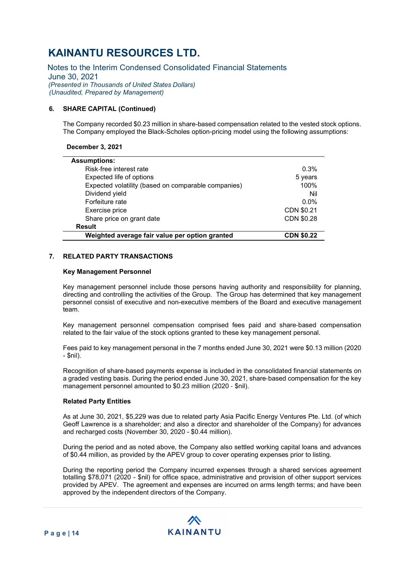Notes to the Interim Condensed Consolidated Financial Statements June 30, 2021 (Presented in Thousands of United States Dollars) (Unaudited, Prepared by Management)

### 6. SHARE CAPITAL (Continued)

The Company recorded \$0.23 million in share-based compensation related to the vested stock options. The Company employed the Black-Scholes option-pricing model using the following assumptions:

December 3, 2021

| <b>Assumptions:</b>                                 |                   |
|-----------------------------------------------------|-------------------|
| Risk-free interest rate                             | 0.3%              |
| Expected life of options                            | 5 years           |
| Expected volatility (based on comparable companies) | 100%              |
| Dividend yield                                      | Nil               |
| Forfeiture rate                                     | $0.0\%$           |
| Exercise price                                      | CDN \$0.21        |
| Share price on grant date                           | CDN \$0.28        |
| <b>Result</b>                                       |                   |
| Weighted average fair value per option granted      | <b>CDN \$0.22</b> |

### 7. RELATED PARTY TRANSACTIONS

#### Key Management Personnel

Key management personnel include those persons having authority and responsibility for planning, directing and controlling the activities of the Group. The Group has determined that key management personnel consist of executive and non-executive members of the Board and executive management team.

Key management personnel compensation comprised fees paid and share‐based compensation related to the fair value of the stock options granted to these key management personal.

Fees paid to key management personal in the 7 months ended June 30, 2021 were \$0.13 million (2020  $-$  \$nil).

Recognition of share-based payments expense is included in the consolidated financial statements on a graded vesting basis. During the period ended June 30, 2021, share-based compensation for the key management personnel amounted to \$0.23 million (2020 ‐ \$nil).

#### Related Party Entities

As at June 30, 2021, \$5,229 was due to related party Asia Pacific Energy Ventures Pte. Ltd. (of which Geoff Lawrence is a shareholder; and also a director and shareholder of the Company) for advances and recharged costs (November 30, 2020 - \$0.44 million).

During the period and as noted above, the Company also settled working capital loans and advances of \$0.44 million, as provided by the APEV group to cover operating expenses prior to listing.

During the reporting period the Company incurred expenses through a shared services agreement totalling \$78,071 (2020 - \$nil) for office space, administrative and provision of other support services provided by APEV. The agreement and expenses are incurred on arms length terms; and have been approved by the independent directors of the Company.